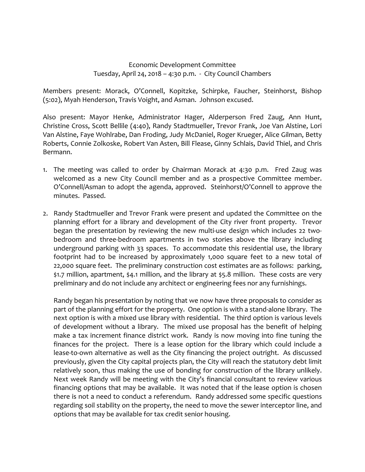## Economic Development Committee Tuesday, April 24, 2018 – 4:30 p.m. ‐ City Council Chambers

Members present: Morack, O'Connell, Kopitzke, Schirpke, Faucher, Steinhorst, Bishop (5:02), Myah Henderson, Travis Voight, and Asman. Johnson excused.

Also present: Mayor Henke, Administrator Hager, Alderperson Fred Zaug, Ann Hunt, Christine Cross, Scott Bellile (4:40), Randy Stadtmueller, Trevor Frank, Joe Van Alstine, Lori Van Alstine, Faye Wohlrabe, Dan Froding, Judy McDaniel, Roger Krueger, Alice Gilman, Betty Roberts, Connie Zolkoske, Robert Van Asten, Bill Flease, Ginny Schlais, David Thiel, and Chris Bermann.

- 1. The meeting was called to order by Chairman Morack at 4:30 p.m. Fred Zaug was welcomed as a new City Council member and as a prospective Committee member. O'Connell/Asman to adopt the agenda, approved. Steinhorst/O'Connell to approve the minutes. Passed.
- 2. Randy Stadtmueller and Trevor Frank were present and updated the Committee on the planning effort for a library and development of the City river front property. Trevor began the presentation by reviewing the new multi-use design which includes 22 twobedroom and three-bedroom apartments in two stories above the library including underground parking with 33 spaces. To accommodate this residential use, the library footprint had to be increased by approximately 1,000 square feet to a new total of 22,000 square feet. The preliminary construction cost estimates are as follows: parking, \$1.7 million, apartment, \$4.1 million, and the library at \$5.8 million. These costs are very preliminary and do not include any architect or engineering fees nor any furnishings.

Randy began his presentation by noting that we now have three proposals to consider as part of the planning effort for the property. One option is with a stand-alone library. The next option is with a mixed use library with residential. The third option is various levels of development without a library. The mixed use proposal has the benefit of helping make a tax increment finance district work. Randy is now moving into fine tuning the finances for the project. There is a lease option for the library which could include a lease-to-own alternative as well as the City financing the project outright. As discussed previously, given the City capital projects plan, the City will reach the statutory debt limit relatively soon, thus making the use of bonding for construction of the library unlikely. Next week Randy will be meeting with the City's financial consultant to review various financing options that may be available. It was noted that if the lease option is chosen there is not a need to conduct a referendum. Randy addressed some specific questions regarding soil stability on the property, the need to move the sewer interceptor line, and options that may be available for tax credit senior housing.